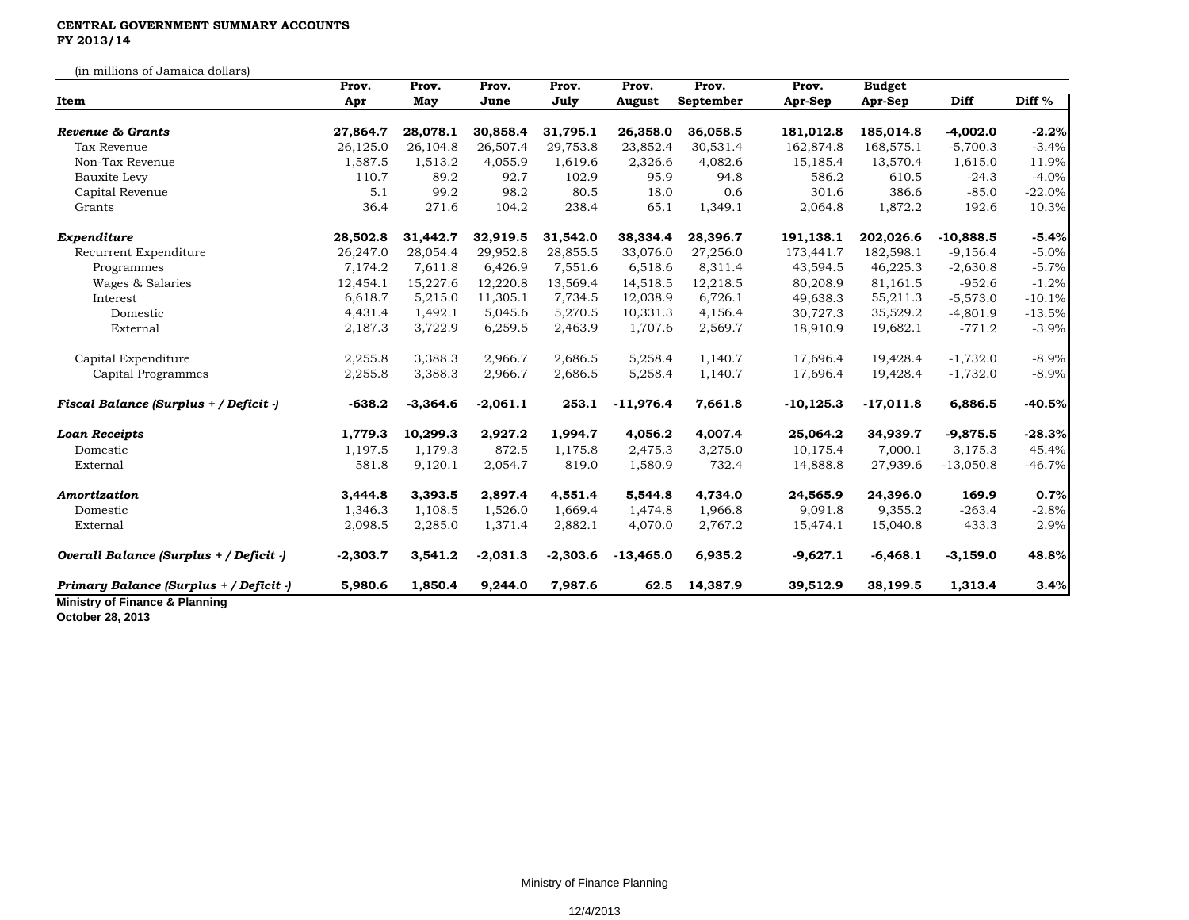## **CENTRAL GOVERNMENT SUMMARY ACCOUNTS FY 2013/14**

(in millions of Jamaica dollars)

| Item                                    | Prov.<br>Apr | Prov.<br>May | Prov.<br>June | Prov.<br>July | Prov.<br>August | Prov.<br>September | Prov.<br>Apr-Sep | <b>Budget</b><br>Apr-Sep | <b>Diff</b> | Diff <sup>%</sup> |
|-----------------------------------------|--------------|--------------|---------------|---------------|-----------------|--------------------|------------------|--------------------------|-------------|-------------------|
|                                         |              |              |               |               |                 |                    |                  |                          |             |                   |
| Tax Revenue                             | 26,125.0     | 26,104.8     | 26,507.4      | 29,753.8      | 23,852.4        | 30,531.4           | 162,874.8        | 168,575.1                | $-5,700.3$  | $-3.4%$           |
| Non-Tax Revenue                         | 1,587.5      | 1,513.2      | 4,055.9       | 1,619.6       | 2,326.6         | 4,082.6            | 15,185.4         | 13,570.4                 | 1,615.0     | 11.9%             |
| Bauxite Levy                            | 110.7        | 89.2         | 92.7          | 102.9         | 95.9            | 94.8               | 586.2            | 610.5                    | $-24.3$     | $-4.0%$           |
| Capital Revenue                         | 5.1          | 99.2         | 98.2          | 80.5          | 18.0            | 0.6                | 301.6            | 386.6                    | $-85.0$     | $-22.0%$          |
| Grants                                  | 36.4         | 271.6        | 104.2         | 238.4         | 65.1            | 1,349.1            | 2,064.8          | 1,872.2                  | 192.6       | 10.3%             |
| Expenditure                             | 28,502.8     | 31,442.7     | 32,919.5      | 31,542.0      | 38,334.4        | 28,396.7           | 191,138.1        | 202,026.6                | $-10,888.5$ | $-5.4%$           |
| Recurrent Expenditure                   | 26,247.0     | 28,054.4     | 29,952.8      | 28,855.5      | 33,076.0        | 27,256.0           | 173,441.7        | 182,598.1                | $-9,156.4$  | $-5.0%$           |
| Programmes                              | 7,174.2      | 7,611.8      | 6,426.9       | 7,551.6       | 6,518.6         | 8,311.4            | 43,594.5         | 46,225.3                 | $-2,630.8$  | $-5.7%$           |
| Wages & Salaries                        | 12,454.1     | 15,227.6     | 12,220.8      | 13,569.4      | 14,518.5        | 12,218.5           | 80,208.9         | 81,161.5                 | $-952.6$    | $-1.2%$           |
| Interest                                | 6,618.7      | 5,215.0      | 11,305.1      | 7,734.5       | 12,038.9        | 6,726.1            | 49,638.3         | 55,211.3                 | $-5,573.0$  | $-10.1%$          |
| Domestic                                | 4,431.4      | 1,492.1      | 5,045.6       | 5,270.5       | 10,331.3        | 4,156.4            | 30,727.3         | 35,529.2                 | $-4,801.9$  | $-13.5%$          |
| External                                | 2,187.3      | 3,722.9      | 6,259.5       | 2,463.9       | 1,707.6         | 2,569.7            | 18,910.9         | 19,682.1                 | $-771.2$    | $-3.9%$           |
| Capital Expenditure                     | 2,255.8      | 3,388.3      | 2,966.7       | 2,686.5       | 5,258.4         | 1,140.7            | 17,696.4         | 19,428.4                 | $-1,732.0$  | $-8.9%$           |
| Capital Programmes                      | 2,255.8      | 3,388.3      | 2,966.7       | 2,686.5       | 5,258.4         | 1,140.7            | 17,696.4         | 19,428.4                 | $-1,732.0$  | $-8.9%$           |
| Fiscal Balance (Surplus + / Deficit -)  | $-638.2$     | $-3,364.6$   | $-2,061.1$    | 253.1         | $-11,976.4$     | 7,661.8            | $-10, 125.3$     | $-17,011.8$              | 6,886.5     | $-40.5%$          |
| <b>Loan Receipts</b>                    | 1,779.3      | 10,299.3     | 2,927.2       | 1,994.7       | 4,056.2         | 4,007.4            | 25,064.2         | 34,939.7                 | $-9,875.5$  | $-28.3%$          |
| Domestic                                | 1,197.5      | 1,179.3      | 872.5         | 1,175.8       | 2,475.3         | 3,275.0            | 10,175.4         | 7,000.1                  | 3,175.3     | 45.4%             |
| External                                | 581.8        | 9,120.1      | 2,054.7       | 819.0         | 1,580.9         | 732.4              | 14,888.8         | 27,939.6                 | $-13,050.8$ | $-46.7%$          |
| Amortization                            | 3,444.8      | 3,393.5      | 2,897.4       | 4,551.4       | 5,544.8         | 4,734.0            | 24,565.9         | 24,396.0                 | 169.9       | 0.7%              |
| Domestic                                | 1,346.3      | 1,108.5      | 1,526.0       | 1,669.4       | 1,474.8         | 1,966.8            | 9,091.8          | 9,355.2                  | $-263.4$    | $-2.8%$           |
| External                                | 2,098.5      | 2,285.0      | 1,371.4       | 2,882.1       | 4,070.0         | 2,767.2            | 15,474.1         | 15,040.8                 | 433.3       | 2.9%              |
| Overall Balance (Surplus + / Deficit -) | $-2,303.7$   | 3,541.2      | $-2,031.3$    | $-2,303.6$    | $-13,465.0$     | 6,935.2            | $-9,627.1$       | $-6,468.1$               | $-3,159.0$  | 48.8%             |
| Primary Balance (Surplus + / Deficit -) | 5,980.6      | 1,850.4      | 9,244.0       | 7,987.6       | 62.5            | 14,387.9           | 39,512.9         | 38,199.5                 | 1,313.4     | 3.4%              |

**October 28, 2013**